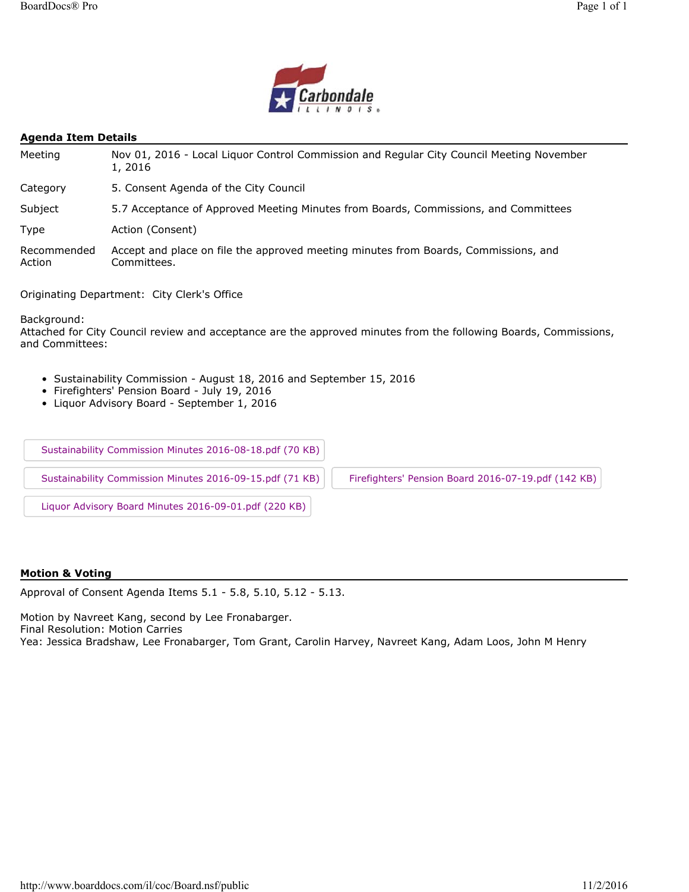

#### **Agenda Item Details**

| Meeting               | Nov 01, 2016 - Local Liquor Control Commission and Regular City Council Meeting November<br>1, 2016 |  |
|-----------------------|-----------------------------------------------------------------------------------------------------|--|
| Category              | 5. Consent Agenda of the City Council                                                               |  |
| Subject               | 5.7 Acceptance of Approved Meeting Minutes from Boards, Commissions, and Committees                 |  |
| Type                  | Action (Consent)                                                                                    |  |
| Recommended<br>Action | Accept and place on file the approved meeting minutes from Boards, Commissions, and<br>Committees.  |  |

Originating Department: City Clerk's Office

Background:

Attached for City Council review and acceptance are the approved minutes from the following Boards, Commissions, and Committees:

- Sustainability Commission August 18, 2016 and September 15, 2016
- Firefighters' Pension Board July 19, 2016
- Liquor Advisory Board September 1, 2016

Sustainability Commission Minutes 2016-08-18.pdf (70 KB)

Sustainability Commission Minutes 2016-09-15.pdf (71 KB) Firefighters' Pension Board 2016-07-19.pdf (142 KB)

Liquor Advisory Board Minutes 2016-09-01.pdf (220 KB)

#### **Motion & Voting**

Approval of Consent Agenda Items 5.1 - 5.8, 5.10, 5.12 - 5.13.

Motion by Navreet Kang, second by Lee Fronabarger.

Final Resolution: Motion Carries

Yea: Jessica Bradshaw, Lee Fronabarger, Tom Grant, Carolin Harvey, Navreet Kang, Adam Loos, John M Henry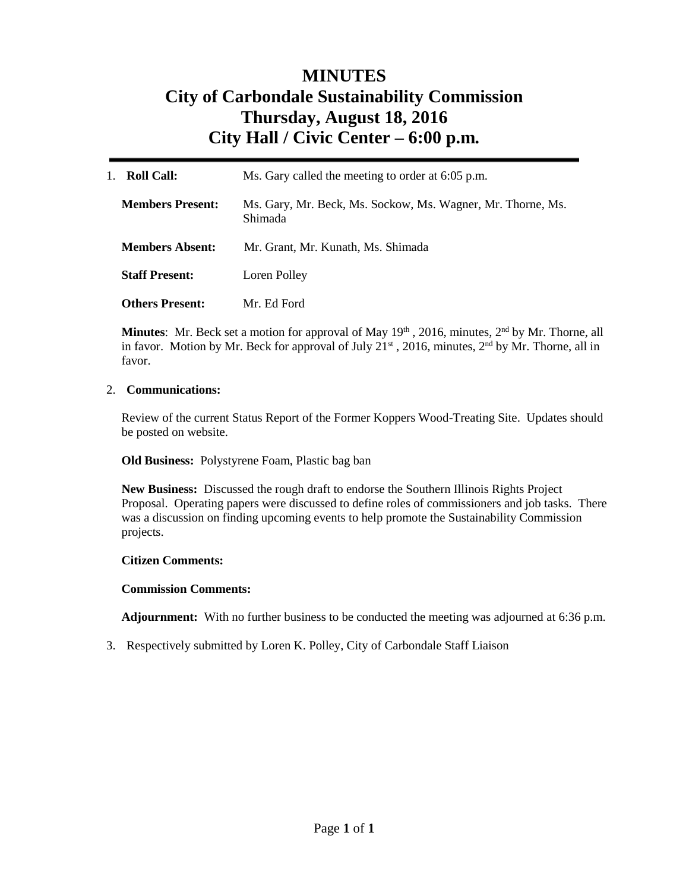# **MINUTES City of Carbondale Sustainability Commission Thursday, August 18, 2016 City Hall / Civic Center – 6:00 p.m***.*

| <b>Roll Call:</b><br>$1_{-}$ | Ms. Gary called the meeting to order at 6:05 p.m.                      |
|------------------------------|------------------------------------------------------------------------|
| <b>Members Present:</b>      | Ms. Gary, Mr. Beck, Ms. Sockow, Ms. Wagner, Mr. Thorne, Ms.<br>Shimada |
| <b>Members Absent:</b>       | Mr. Grant, Mr. Kunath, Ms. Shimada                                     |
| <b>Staff Present:</b>        | Loren Polley                                                           |
| <b>Others Present:</b>       | Mr. Ed Ford                                                            |

Minutes: Mr. Beck set a motion for approval of May 19<sup>th</sup>, 2016, minutes, 2<sup>nd</sup> by Mr. Thorne, all in favor. Motion by Mr. Beck for approval of July 21<sup>st</sup>, 2016, minutes, 2<sup>nd</sup> by Mr. Thorne, all in favor.

## 2. **Communications:**

Review of the current Status Report of the Former Koppers Wood-Treating Site. Updates should be posted on website.

**Old Business:** Polystyrene Foam, Plastic bag ban

**New Business:** Discussed the rough draft to endorse the Southern Illinois Rights Project Proposal. Operating papers were discussed to define roles of commissioners and job tasks. There was a discussion on finding upcoming events to help promote the Sustainability Commission projects.

## **Citizen Comments:**

## **Commission Comments:**

**Adjournment:** With no further business to be conducted the meeting was adjourned at 6:36 p.m.

3. Respectively submitted by Loren K. Polley, City of Carbondale Staff Liaison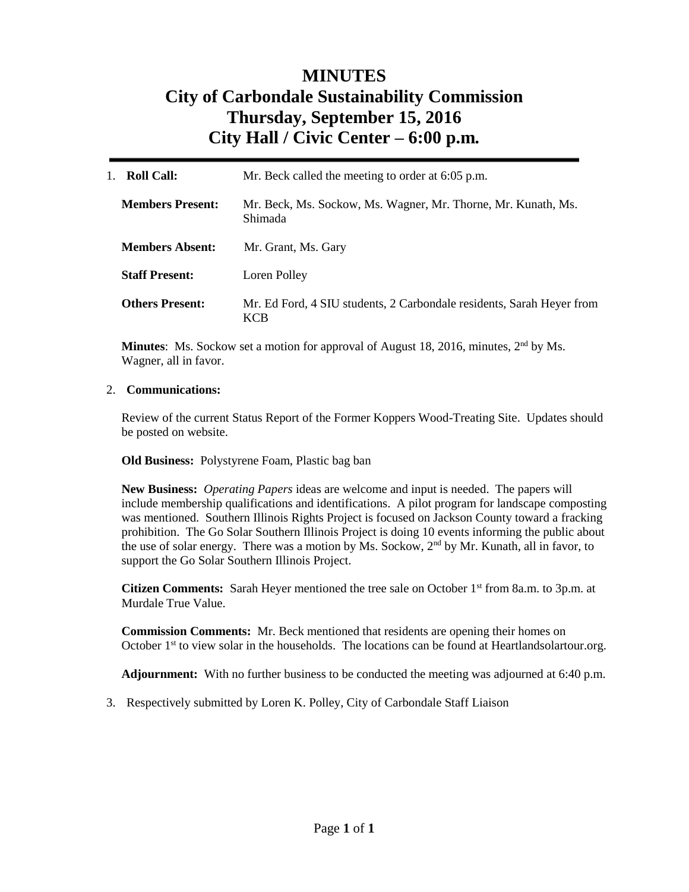# **MINUTES City of Carbondale Sustainability Commission Thursday, September 15, 2016 City Hall / Civic Center – 6:00 p.m***.*

| <b>Roll Call:</b>       | Mr. Beck called the meeting to order at 6:05 p.m.                                   |
|-------------------------|-------------------------------------------------------------------------------------|
| <b>Members Present:</b> | Mr. Beck, Ms. Sockow, Ms. Wagner, Mr. Thorne, Mr. Kunath, Ms.<br>Shimada            |
| <b>Members Absent:</b>  | Mr. Grant, Ms. Gary                                                                 |
| <b>Staff Present:</b>   | Loren Polley                                                                        |
| <b>Others Present:</b>  | Mr. Ed Ford, 4 SIU students, 2 Carbondale residents, Sarah Heyer from<br><b>KCB</b> |

**Minutes**: Ms. Sockow set a motion for approval of August 18, 2016, minutes, 2<sup>nd</sup> by Ms. Wagner, all in favor.

## 2. **Communications:**

Review of the current Status Report of the Former Koppers Wood-Treating Site. Updates should be posted on website.

**Old Business:** Polystyrene Foam, Plastic bag ban

**New Business:** *Operating Papers* ideas are welcome and input is needed. The papers will include membership qualifications and identifications. A pilot program for landscape composting was mentioned. Southern Illinois Rights Project is focused on Jackson County toward a fracking prohibition. The Go Solar Southern Illinois Project is doing 10 events informing the public about the use of solar energy. There was a motion by Ms. Sockow,  $2<sup>nd</sup>$  by Mr. Kunath, all in favor, to support the Go Solar Southern Illinois Project.

Citizen Comments: Sarah Heyer mentioned the tree sale on October 1<sup>st</sup> from 8a.m. to 3p.m. at Murdale True Value.

**Commission Comments:** Mr. Beck mentioned that residents are opening their homes on October 1st to view solar in the households.The locations can be found at Heartlandsolartour.org.

**Adjournment:** With no further business to be conducted the meeting was adjourned at 6:40 p.m.

3. Respectively submitted by Loren K. Polley, City of Carbondale Staff Liaison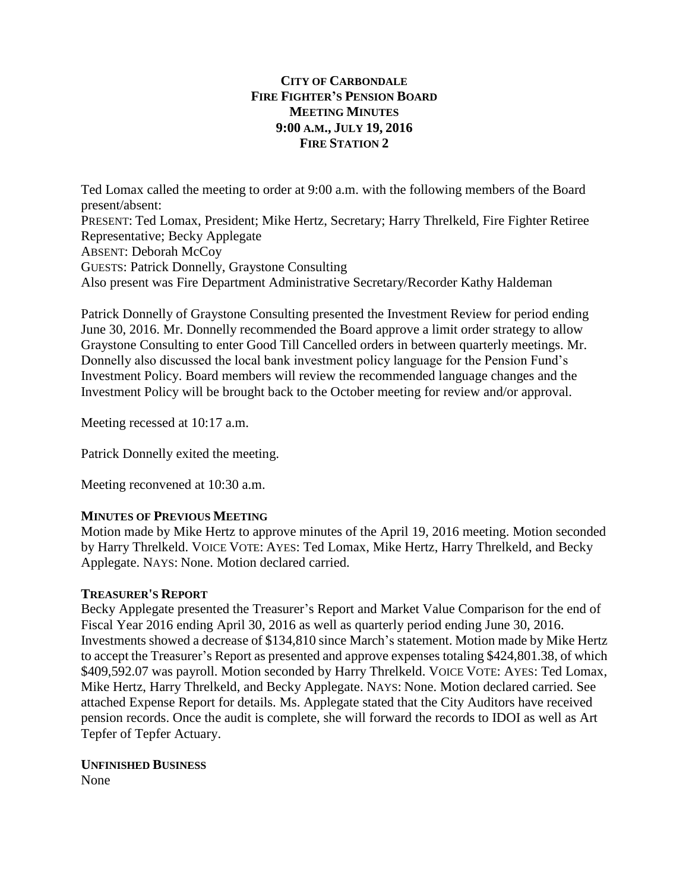# **CITY OF CARBONDALE FIRE FIGHTER'S PENSION BOARD MEETING MINUTES 9:00 A.M., JULY 19, 2016 FIRE STATION 2**

Ted Lomax called the meeting to order at 9:00 a.m. with the following members of the Board present/absent: PRESENT: Ted Lomax, President; Mike Hertz, Secretary; Harry Threlkeld, Fire Fighter Retiree Representative; Becky Applegate ABSENT: Deborah McCoy GUESTS: Patrick Donnelly, Graystone Consulting Also present was Fire Department Administrative Secretary/Recorder Kathy Haldeman

Patrick Donnelly of Graystone Consulting presented the Investment Review for period ending June 30, 2016. Mr. Donnelly recommended the Board approve a limit order strategy to allow Graystone Consulting to enter Good Till Cancelled orders in between quarterly meetings. Mr. Donnelly also discussed the local bank investment policy language for the Pension Fund's Investment Policy. Board members will review the recommended language changes and the Investment Policy will be brought back to the October meeting for review and/or approval.

Meeting recessed at 10:17 a.m.

Patrick Donnelly exited the meeting.

Meeting reconvened at 10:30 a.m.

# **MINUTES OF PREVIOUS MEETING**

Motion made by Mike Hertz to approve minutes of the April 19, 2016 meeting. Motion seconded by Harry Threlkeld. VOICE VOTE: AYES: Ted Lomax, Mike Hertz, Harry Threlkeld, and Becky Applegate. NAYS: None. Motion declared carried.

## **TREASURER'S REPORT**

Becky Applegate presented the Treasurer's Report and Market Value Comparison for the end of Fiscal Year 2016 ending April 30, 2016 as well as quarterly period ending June 30, 2016. Investments showed a decrease of \$134,810 since March's statement. Motion made by Mike Hertz to accept the Treasurer's Report as presented and approve expenses totaling \$424,801.38, of which \$409,592.07 was payroll. Motion seconded by Harry Threlkeld. VOICE VOTE: AYES: Ted Lomax, Mike Hertz, Harry Threlkeld, and Becky Applegate. NAYS: None. Motion declared carried. See attached Expense Report for details. Ms. Applegate stated that the City Auditors have received pension records. Once the audit is complete, she will forward the records to IDOI as well as Art Tepfer of Tepfer Actuary.

**UNFINISHED BUSINESS** None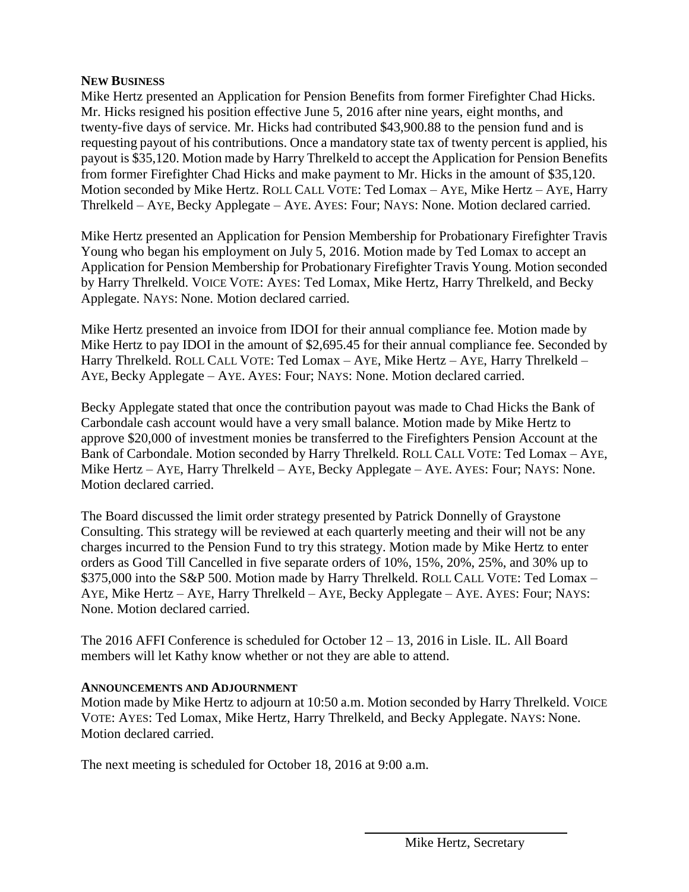# **NEW BUSINESS**

Mike Hertz presented an Application for Pension Benefits from former Firefighter Chad Hicks. Mr. Hicks resigned his position effective June 5, 2016 after nine years, eight months, and twenty-five days of service. Mr. Hicks had contributed \$43,900.88 to the pension fund and is requesting payout of his contributions. Once a mandatory state tax of twenty percent is applied, his payout is \$35,120. Motion made by Harry Threlkeld to accept the Application for Pension Benefits from former Firefighter Chad Hicks and make payment to Mr. Hicks in the amount of \$35,120. Motion seconded by Mike Hertz. ROLL CALL VOTE: Ted Lomax – AYE, Mike Hertz – AYE, Harry Threlkeld – AYE, Becky Applegate – AYE. AYES: Four; NAYS: None. Motion declared carried.

Mike Hertz presented an Application for Pension Membership for Probationary Firefighter Travis Young who began his employment on July 5, 2016. Motion made by Ted Lomax to accept an Application for Pension Membership for Probationary Firefighter Travis Young. Motion seconded by Harry Threlkeld. VOICE VOTE: AYES: Ted Lomax, Mike Hertz, Harry Threlkeld, and Becky Applegate. NAYS: None. Motion declared carried.

Mike Hertz presented an invoice from IDOI for their annual compliance fee. Motion made by Mike Hertz to pay IDOI in the amount of \$2,695.45 for their annual compliance fee. Seconded by Harry Threlkeld. ROLL CALL VOTE: Ted Lomax – AYE, Mike Hertz – AYE, Harry Threlkeld – AYE, Becky Applegate – AYE. AYES: Four; NAYS: None. Motion declared carried.

Becky Applegate stated that once the contribution payout was made to Chad Hicks the Bank of Carbondale cash account would have a very small balance. Motion made by Mike Hertz to approve \$20,000 of investment monies be transferred to the Firefighters Pension Account at the Bank of Carbondale. Motion seconded by Harry Threlkeld. ROLL CALL VOTE: Ted Lomax – AYE, Mike Hertz – AYE, Harry Threlkeld – AYE, Becky Applegate – AYE. AYES: Four; NAYS: None. Motion declared carried.

The Board discussed the limit order strategy presented by Patrick Donnelly of Graystone Consulting. This strategy will be reviewed at each quarterly meeting and their will not be any charges incurred to the Pension Fund to try this strategy. Motion made by Mike Hertz to enter orders as Good Till Cancelled in five separate orders of 10%, 15%, 20%, 25%, and 30% up to \$375,000 into the S&P 500. Motion made by Harry Threlkeld. ROLL CALL VOTE: Ted Lomax – AYE, Mike Hertz – AYE, Harry Threlkeld – AYE, Becky Applegate – AYE. AYES: Four; NAYS: None. Motion declared carried.

The 2016 AFFI Conference is scheduled for October 12 – 13, 2016 in Lisle. IL. All Board members will let Kathy know whether or not they are able to attend.

# **ANNOUNCEMENTS AND ADJOURNMENT**

Motion made by Mike Hertz to adjourn at 10:50 a.m. Motion seconded by Harry Threlkeld. VOICE VOTE: AYES: Ted Lomax, Mike Hertz, Harry Threlkeld, and Becky Applegate. NAYS: None. Motion declared carried.

The next meeting is scheduled for October 18, 2016 at 9:00 a.m.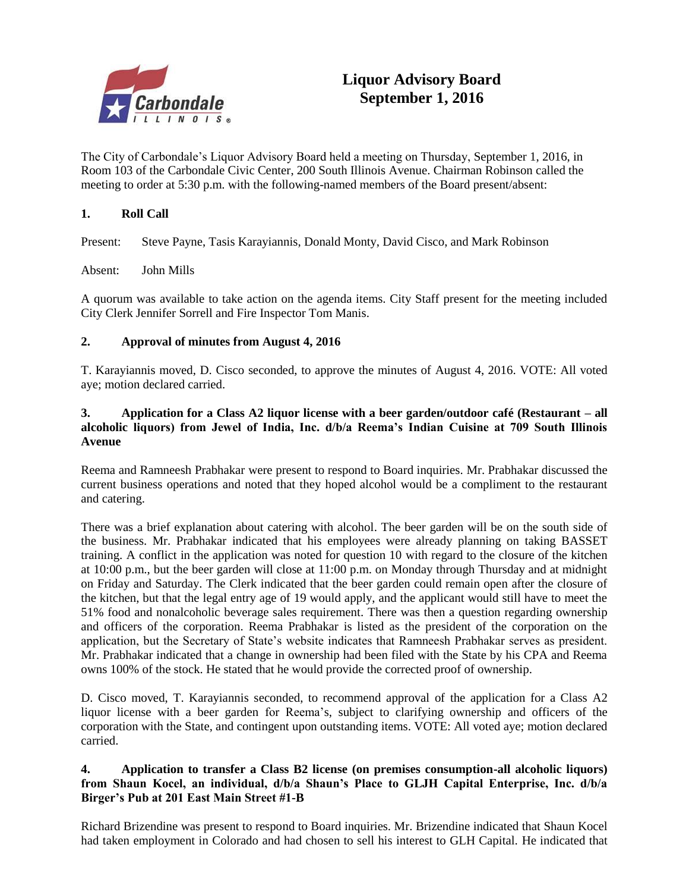

The City of Carbondale's Liquor Advisory Board held a meeting on Thursday, September 1, 2016, in Room 103 of the Carbondale Civic Center, 200 South Illinois Avenue. Chairman Robinson called the meeting to order at 5:30 p.m. with the following-named members of the Board present/absent:

# **1. Roll Call**

Present: Steve Payne, Tasis Karayiannis, Donald Monty, David Cisco, and Mark Robinson

Absent: John Mills

A quorum was available to take action on the agenda items. City Staff present for the meeting included City Clerk Jennifer Sorrell and Fire Inspector Tom Manis.

## **2. Approval of minutes from August 4, 2016**

T. Karayiannis moved, D. Cisco seconded, to approve the minutes of August 4, 2016. VOTE: All voted aye; motion declared carried.

## **3. Application for a Class A2 liquor license with a beer garden/outdoor café (Restaurant – all alcoholic liquors) from Jewel of India, Inc. d/b/a Reema's Indian Cuisine at 709 South Illinois Avenue**

Reema and Ramneesh Prabhakar were present to respond to Board inquiries. Mr. Prabhakar discussed the current business operations and noted that they hoped alcohol would be a compliment to the restaurant and catering.

There was a brief explanation about catering with alcohol. The beer garden will be on the south side of the business. Mr. Prabhakar indicated that his employees were already planning on taking BASSET training. A conflict in the application was noted for question 10 with regard to the closure of the kitchen at 10:00 p.m., but the beer garden will close at 11:00 p.m. on Monday through Thursday and at midnight on Friday and Saturday. The Clerk indicated that the beer garden could remain open after the closure of the kitchen, but that the legal entry age of 19 would apply, and the applicant would still have to meet the 51% food and nonalcoholic beverage sales requirement. There was then a question regarding ownership and officers of the corporation. Reema Prabhakar is listed as the president of the corporation on the application, but the Secretary of State's website indicates that Ramneesh Prabhakar serves as president. Mr. Prabhakar indicated that a change in ownership had been filed with the State by his CPA and Reema owns 100% of the stock. He stated that he would provide the corrected proof of ownership.

D. Cisco moved, T. Karayiannis seconded, to recommend approval of the application for a Class A2 liquor license with a beer garden for Reema's, subject to clarifying ownership and officers of the corporation with the State, and contingent upon outstanding items. VOTE: All voted aye; motion declared carried.

## **4. Application to transfer a Class B2 license (on premises consumption-all alcoholic liquors) from Shaun Kocel, an individual, d/b/a Shaun's Place to GLJH Capital Enterprise, Inc. d/b/a Birger's Pub at 201 East Main Street #1-B**

Richard Brizendine was present to respond to Board inquiries. Mr. Brizendine indicated that Shaun Kocel had taken employment in Colorado and had chosen to sell his interest to GLH Capital. He indicated that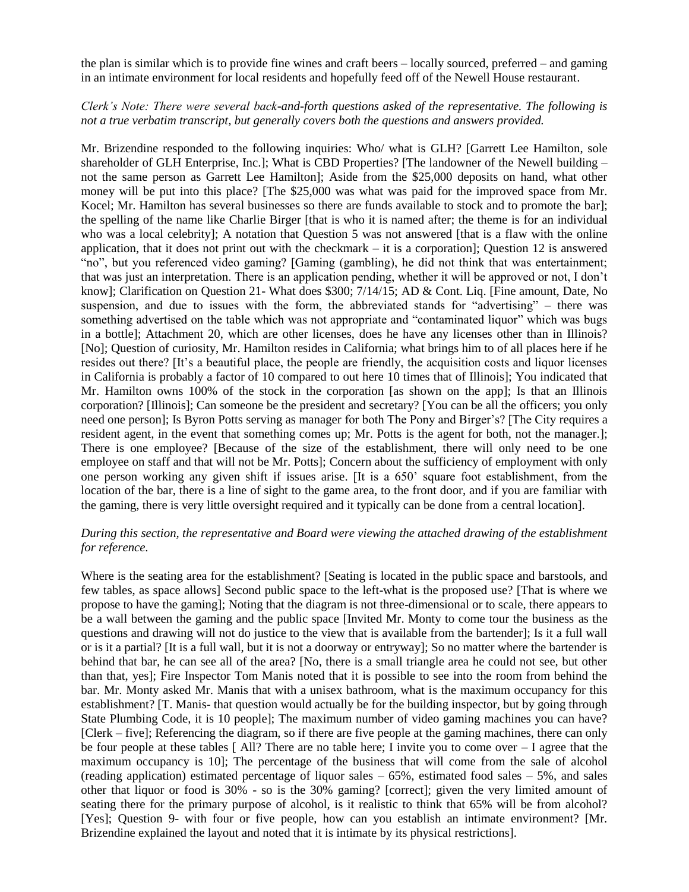the plan is similar which is to provide fine wines and craft beers – locally sourced, preferred – and gaming in an intimate environment for local residents and hopefully feed off of the Newell House restaurant.

## *Clerk's Note: There were several back-and-forth questions asked of the representative. The following is not a true verbatim transcript, but generally covers both the questions and answers provided.*

Mr. Brizendine responded to the following inquiries: Who/ what is GLH? [Garrett Lee Hamilton, sole shareholder of GLH Enterprise, Inc.]; What is CBD Properties? [The landowner of the Newell building – not the same person as Garrett Lee Hamilton]; Aside from the \$25,000 deposits on hand, what other money will be put into this place? [The \$25,000 was what was paid for the improved space from Mr. Kocel; Mr. Hamilton has several businesses so there are funds available to stock and to promote the bar]; the spelling of the name like Charlie Birger [that is who it is named after; the theme is for an individual who was a local celebrity]; A notation that Question 5 was not answered [that is a flaw with the online application, that it does not print out with the checkmark  $-$  it is a corporation]; Question 12 is answered "no", but you referenced video gaming? [Gaming (gambling), he did not think that was entertainment; that was just an interpretation. There is an application pending, whether it will be approved or not, I don't know]; Clarification on Question 21- What does \$300; 7/14/15; AD & Cont. Liq. [Fine amount, Date, No suspension, and due to issues with the form, the abbreviated stands for "advertising" – there was something advertised on the table which was not appropriate and "contaminated liquor" which was bugs in a bottle]; Attachment 20, which are other licenses, does he have any licenses other than in Illinois? [No]; Question of curiosity, Mr. Hamilton resides in California; what brings him to of all places here if he resides out there? [It's a beautiful place, the people are friendly, the acquisition costs and liquor licenses in California is probably a factor of 10 compared to out here 10 times that of Illinois]; You indicated that Mr. Hamilton owns 100% of the stock in the corporation [as shown on the app]; Is that an Illinois corporation? [Illinois]; Can someone be the president and secretary? [You can be all the officers; you only need one person]; Is Byron Potts serving as manager for both The Pony and Birger's? [The City requires a resident agent, in the event that something comes up; Mr. Potts is the agent for both, not the manager.]; There is one employee? [Because of the size of the establishment, there will only need to be one employee on staff and that will not be Mr. Potts]; Concern about the sufficiency of employment with only one person working any given shift if issues arise. [It is a 650' square foot establishment, from the location of the bar, there is a line of sight to the game area, to the front door, and if you are familiar with the gaming, there is very little oversight required and it typically can be done from a central location].

## *During this section, the representative and Board were viewing the attached drawing of the establishment for reference.*

Where is the seating area for the establishment? [Seating is located in the public space and barstools, and few tables, as space allows] Second public space to the left-what is the proposed use? [That is where we propose to have the gaming]; Noting that the diagram is not three-dimensional or to scale, there appears to be a wall between the gaming and the public space [Invited Mr. Monty to come tour the business as the questions and drawing will not do justice to the view that is available from the bartender]; Is it a full wall or is it a partial? [It is a full wall, but it is not a doorway or entryway]; So no matter where the bartender is behind that bar, he can see all of the area? [No, there is a small triangle area he could not see, but other than that, yes]; Fire Inspector Tom Manis noted that it is possible to see into the room from behind the bar. Mr. Monty asked Mr. Manis that with a unisex bathroom, what is the maximum occupancy for this establishment? [T. Manis- that question would actually be for the building inspector, but by going through State Plumbing Code, it is 10 people]; The maximum number of video gaming machines you can have? [Clerk – five]; Referencing the diagram, so if there are five people at the gaming machines, there can only be four people at these tables [ All? There are no table here; I invite you to come over – I agree that the maximum occupancy is 10]; The percentage of the business that will come from the sale of alcohol (reading application) estimated percentage of liquor sales  $-65%$ , estimated food sales  $-5%$ , and sales other that liquor or food is 30% - so is the 30% gaming? [correct]; given the very limited amount of seating there for the primary purpose of alcohol, is it realistic to think that 65% will be from alcohol? [Yes]; Question 9- with four or five people, how can you establish an intimate environment? [Mr. Brizendine explained the layout and noted that it is intimate by its physical restrictions].